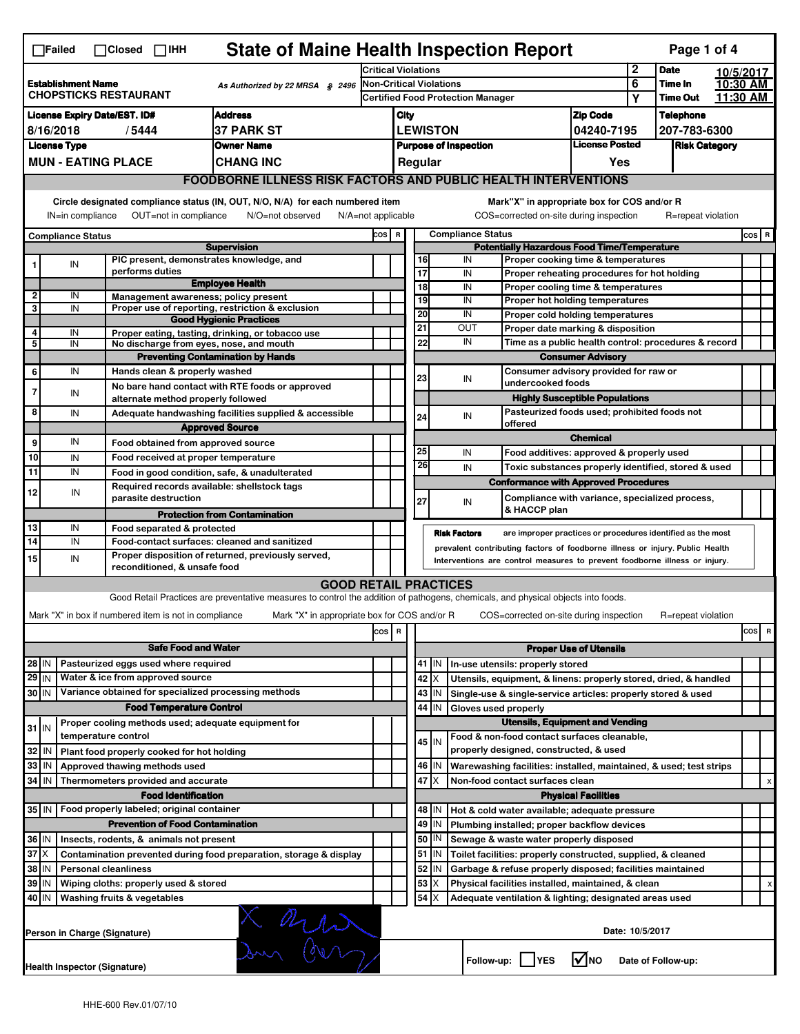| <b>State of Maine Health Inspection Report</b><br>Page 1 of 4<br>$\Box$ Failed<br>$\Box$ Closed $\Box$ IHH                                                                                                                                                                                |                                                                                                            |                                                       |                                                                                                                                   |                         |                                                                              |                               |                                                              |                                                                    |                                              |                                                                       |                  |                    |          |           |  |
|-------------------------------------------------------------------------------------------------------------------------------------------------------------------------------------------------------------------------------------------------------------------------------------------|------------------------------------------------------------------------------------------------------------|-------------------------------------------------------|-----------------------------------------------------------------------------------------------------------------------------------|-------------------------|------------------------------------------------------------------------------|-------------------------------|--------------------------------------------------------------|--------------------------------------------------------------------|----------------------------------------------|-----------------------------------------------------------------------|------------------|--------------------|----------|-----------|--|
|                                                                                                                                                                                                                                                                                           |                                                                                                            |                                                       |                                                                                                                                   |                         | <b>Critical Violations</b>                                                   |                               |                                                              |                                                                    |                                              |                                                                       | $\mathbf{2}$     | <b>Date</b>        |          | 10/5/2017 |  |
| <b>Establishment Name</b><br>As Authorized by 22 MRSA § 2496<br><b>CHOPSTICKS RESTAURANT</b>                                                                                                                                                                                              |                                                                                                            |                                                       |                                                                                                                                   | Non-Critical Violations |                                                                              |                               |                                                              |                                                                    |                                              | 6                                                                     | Time In          |                    | 10:30 AM |           |  |
|                                                                                                                                                                                                                                                                                           |                                                                                                            |                                                       |                                                                                                                                   |                         | <b>Certified Food Protection Manager</b>                                     |                               |                                                              |                                                                    |                                              | Υ                                                                     | <b>Time Out</b>  |                    | 11:30 AM |           |  |
| <b>Address</b><br><b>License Expiry Date/EST. ID#</b>                                                                                                                                                                                                                                     |                                                                                                            |                                                       |                                                                                                                                   |                         | City                                                                         |                               |                                                              |                                                                    | <b>Zip Code</b>                              |                                                                       | <b>Telephone</b> |                    |          |           |  |
| <b>37 PARK ST</b><br>8/16/2018<br>/5444                                                                                                                                                                                                                                                   |                                                                                                            |                                                       |                                                                                                                                   |                         | <b>LEWISTON</b><br>04240-7195                                                |                               |                                                              |                                                                    |                                              | 207-783-6300                                                          |                  |                    |          |           |  |
|                                                                                                                                                                                                                                                                                           | <b>License Type</b>                                                                                        |                                                       | <b>Owner Name</b>                                                                                                                 |                         | <b>License Posted</b><br><b>Purpose of Inspection</b>                        |                               |                                                              |                                                                    |                                              | <b>Risk Category</b>                                                  |                  |                    |          |           |  |
|                                                                                                                                                                                                                                                                                           | <b>MUN - EATING PLACE</b><br><b>CHANG INC</b>                                                              |                                                       |                                                                                                                                   |                         |                                                                              |                               | Regular                                                      |                                                                    |                                              | Yes                                                                   |                  |                    |          |           |  |
|                                                                                                                                                                                                                                                                                           |                                                                                                            |                                                       | <b>FOODBORNE ILLNESS RISK FACTORS AND PUBLIC HEALTH INTERVENTIONS</b>                                                             |                         |                                                                              |                               |                                                              |                                                                    |                                              |                                                                       |                  |                    |          |           |  |
| Circle designated compliance status (IN, OUT, N/O, N/A) for each numbered item<br>Mark"X" in appropriate box for COS and/or R<br>OUT=not in compliance<br>COS=corrected on-site during inspection<br>IN=in compliance<br>N/O=not observed<br>$N/A = not$ applicable<br>R=repeat violation |                                                                                                            |                                                       |                                                                                                                                   |                         |                                                                              |                               |                                                              |                                                                    |                                              |                                                                       |                  |                    |          |           |  |
|                                                                                                                                                                                                                                                                                           |                                                                                                            |                                                       |                                                                                                                                   |                         | <b>Compliance Status</b><br>COS R                                            |                               |                                                              |                                                                    |                                              |                                                                       |                  |                    |          | $cos$ R   |  |
| <b>Compliance Status</b><br><b>Supervision</b>                                                                                                                                                                                                                                            |                                                                                                            |                                                       |                                                                                                                                   |                         | <b>Potentially Hazardous Food Time/Temperature</b>                           |                               |                                                              |                                                                    |                                              |                                                                       |                  |                    |          |           |  |
|                                                                                                                                                                                                                                                                                           | IN                                                                                                         | PIC present, demonstrates knowledge, and              |                                                                                                                                   |                         |                                                                              |                               | 16                                                           | IN                                                                 |                                              | Proper cooking time & temperatures                                    |                  |                    |          |           |  |
|                                                                                                                                                                                                                                                                                           |                                                                                                            | performs duties                                       | <b>Employee Health</b>                                                                                                            |                         |                                                                              | $\overline{17}$               |                                                              | IN                                                                 |                                              | Proper reheating procedures for hot holding                           |                  |                    |          |           |  |
| $\overline{2}$                                                                                                                                                                                                                                                                            | IN                                                                                                         | Management awareness; policy present                  |                                                                                                                                   |                         |                                                                              | $\overline{18}$               | 19                                                           | IN<br>IN                                                           |                                              | Proper cooling time & temperatures<br>Proper hot holding temperatures |                  |                    |          |           |  |
| 3                                                                                                                                                                                                                                                                                         | IN                                                                                                         |                                                       | Proper use of reporting, restriction & exclusion                                                                                  |                         |                                                                              | 20                            |                                                              | IN                                                                 |                                              |                                                                       |                  |                    |          |           |  |
|                                                                                                                                                                                                                                                                                           |                                                                                                            |                                                       | <b>Good Hygienic Practices</b>                                                                                                    |                         |                                                                              | 21                            |                                                              | OUT                                                                |                                              | Proper cold holding temperatures<br>Proper date marking & disposition |                  |                    |          |           |  |
| 4<br>5                                                                                                                                                                                                                                                                                    | IN<br>IN                                                                                                   | No discharge from eyes, nose, and mouth               | Proper eating, tasting, drinking, or tobacco use                                                                                  |                         |                                                                              | 22                            |                                                              | IN                                                                 |                                              | Time as a public health control: procedures & record                  |                  |                    |          |           |  |
|                                                                                                                                                                                                                                                                                           |                                                                                                            |                                                       | <b>Preventing Contamination by Hands</b>                                                                                          |                         |                                                                              |                               |                                                              |                                                                    |                                              | <b>Consumer Advisory</b>                                              |                  |                    |          |           |  |
| 6                                                                                                                                                                                                                                                                                         | IN                                                                                                         | Hands clean & properly washed                         |                                                                                                                                   |                         |                                                                              |                               |                                                              |                                                                    | Consumer advisory provided for raw or        |                                                                       |                  |                    |          |           |  |
|                                                                                                                                                                                                                                                                                           |                                                                                                            |                                                       | No bare hand contact with RTE foods or approved                                                                                   |                         |                                                                              | 23                            |                                                              | IN                                                                 | undercooked foods                            |                                                                       |                  |                    |          |           |  |
| 7                                                                                                                                                                                                                                                                                         | IN                                                                                                         | alternate method properly followed                    |                                                                                                                                   |                         |                                                                              |                               |                                                              |                                                                    |                                              | <b>Highly Susceptible Populations</b>                                 |                  |                    |          |           |  |
| 8                                                                                                                                                                                                                                                                                         | IN                                                                                                         |                                                       | Adequate handwashing facilities supplied & accessible                                                                             |                         |                                                                              | 24                            |                                                              | IN                                                                 | Pasteurized foods used; prohibited foods not |                                                                       |                  |                    |          |           |  |
|                                                                                                                                                                                                                                                                                           |                                                                                                            |                                                       | <b>Approved Source</b>                                                                                                            |                         |                                                                              |                               |                                                              |                                                                    | offered                                      |                                                                       |                  |                    |          |           |  |
| 9                                                                                                                                                                                                                                                                                         | IN                                                                                                         | Food obtained from approved source                    |                                                                                                                                   |                         |                                                                              |                               |                                                              |                                                                    |                                              | <b>Chemical</b>                                                       |                  |                    |          |           |  |
| 10                                                                                                                                                                                                                                                                                        | IN                                                                                                         | Food received at proper temperature                   |                                                                                                                                   |                         |                                                                              | 25                            |                                                              | IN                                                                 |                                              | Food additives: approved & properly used                              |                  |                    |          |           |  |
| 11                                                                                                                                                                                                                                                                                        | IN                                                                                                         |                                                       | Food in good condition, safe, & unadulterated                                                                                     |                         |                                                                              |                               | 26                                                           | IN                                                                 |                                              | Toxic substances properly identified, stored & used                   |                  |                    |          |           |  |
| 12                                                                                                                                                                                                                                                                                        | IN                                                                                                         | Required records available: shellstock tags           |                                                                                                                                   |                         |                                                                              |                               |                                                              |                                                                    |                                              | <b>Conformance with Approved Procedures</b>                           |                  |                    |          |           |  |
|                                                                                                                                                                                                                                                                                           |                                                                                                            | parasite destruction                                  |                                                                                                                                   |                         |                                                                              | 27                            |                                                              | IN                                                                 |                                              | Compliance with variance, specialized process,                        |                  |                    |          |           |  |
|                                                                                                                                                                                                                                                                                           |                                                                                                            |                                                       | <b>Protection from Contamination</b>                                                                                              |                         |                                                                              |                               |                                                              |                                                                    | & HACCP plan                                 |                                                                       |                  |                    |          |           |  |
| 13                                                                                                                                                                                                                                                                                        | IN                                                                                                         | Food separated & protected                            |                                                                                                                                   |                         |                                                                              |                               |                                                              | <b>Risk Factors</b>                                                |                                              | are improper practices or procedures identified as the most           |                  |                    |          |           |  |
| $\overline{14}$                                                                                                                                                                                                                                                                           | IN                                                                                                         |                                                       | Food-contact surfaces: cleaned and sanitized                                                                                      |                         | prevalent contributing factors of foodborne illness or injury. Public Health |                               |                                                              |                                                                    |                                              |                                                                       |                  |                    |          |           |  |
| 15                                                                                                                                                                                                                                                                                        | IN                                                                                                         | reconditioned, & unsafe food                          | Proper disposition of returned, previously served,                                                                                |                         | Interventions are control measures to prevent foodborne illness or injury.   |                               |                                                              |                                                                    |                                              |                                                                       |                  |                    |          |           |  |
|                                                                                                                                                                                                                                                                                           |                                                                                                            |                                                       | <b>GOOD RETAIL PRACTICES</b>                                                                                                      |                         |                                                                              |                               |                                                              |                                                                    |                                              |                                                                       |                  |                    |          |           |  |
|                                                                                                                                                                                                                                                                                           |                                                                                                            |                                                       | Good Retail Practices are preventative measures to control the addition of pathogens, chemicals, and physical objects into foods. |                         |                                                                              |                               |                                                              |                                                                    |                                              |                                                                       |                  |                    |          |           |  |
|                                                                                                                                                                                                                                                                                           |                                                                                                            | Mark "X" in box if numbered item is not in compliance | Mark "X" in appropriate box for COS and/or R                                                                                      |                         |                                                                              |                               |                                                              |                                                                    |                                              | COS=corrected on-site during inspection                               |                  | R=repeat violation |          |           |  |
|                                                                                                                                                                                                                                                                                           |                                                                                                            |                                                       |                                                                                                                                   |                         |                                                                              |                               |                                                              |                                                                    |                                              |                                                                       |                  |                    |          |           |  |
|                                                                                                                                                                                                                                                                                           |                                                                                                            |                                                       |                                                                                                                                   | cos                     | R                                                                            |                               |                                                              |                                                                    |                                              |                                                                       |                  |                    |          | cos<br>R  |  |
|                                                                                                                                                                                                                                                                                           |                                                                                                            | <b>Safe Food and Water</b>                            |                                                                                                                                   |                         |                                                                              | <b>Proper Use of Utensils</b> |                                                              |                                                                    |                                              |                                                                       |                  |                    |          |           |  |
| 28 IN                                                                                                                                                                                                                                                                                     |                                                                                                            | Pasteurized eggs used where required                  |                                                                                                                                   |                         |                                                                              |                               | 41 IN                                                        | In-use utensils: properly stored                                   |                                              |                                                                       |                  |                    |          |           |  |
| 29 IN                                                                                                                                                                                                                                                                                     |                                                                                                            | Water & ice from approved source                      |                                                                                                                                   |                         |                                                                              |                               | 42 X                                                         | Utensils, equipment, & linens: properly stored, dried, & handled   |                                              |                                                                       |                  |                    |          |           |  |
| 30 IN                                                                                                                                                                                                                                                                                     |                                                                                                            | Variance obtained for specialized processing methods  |                                                                                                                                   |                         |                                                                              |                               | 43   IN                                                      | Single-use & single-service articles: properly stored & used       |                                              |                                                                       |                  |                    |          |           |  |
|                                                                                                                                                                                                                                                                                           |                                                                                                            | <b>Food Temperature Control</b>                       |                                                                                                                                   |                         |                                                                              |                               | 44 IN                                                        | Gloves used properly                                               |                                              |                                                                       |                  |                    |          |           |  |
| $31$ IN                                                                                                                                                                                                                                                                                   |                                                                                                            | Proper cooling methods used; adequate equipment for   |                                                                                                                                   |                         |                                                                              |                               |                                                              |                                                                    |                                              | <b>Utensils, Equipment and Vending</b>                                |                  |                    |          |           |  |
|                                                                                                                                                                                                                                                                                           |                                                                                                            | temperature control                                   |                                                                                                                                   |                         |                                                                              |                               | 45 IN                                                        | Food & non-food contact surfaces cleanable,                        |                                              |                                                                       |                  |                    |          |           |  |
| 32                                                                                                                                                                                                                                                                                        | ۱N                                                                                                         | Plant food properly cooked for hot holding            |                                                                                                                                   |                         |                                                                              |                               |                                                              | properly designed, constructed, & used                             |                                              |                                                                       |                  |                    |          |           |  |
| $33$ IN                                                                                                                                                                                                                                                                                   |                                                                                                            | Approved thawing methods used                         |                                                                                                                                   |                         |                                                                              |                               | 46   IN                                                      | Warewashing facilities: installed, maintained, & used; test strips |                                              |                                                                       |                  |                    |          |           |  |
| 34 IN                                                                                                                                                                                                                                                                                     |                                                                                                            | Thermometers provided and accurate                    |                                                                                                                                   |                         |                                                                              |                               | 47<br>ΙX<br>Non-food contact surfaces clean                  |                                                                    |                                              |                                                                       |                  |                    |          | х         |  |
|                                                                                                                                                                                                                                                                                           |                                                                                                            | <b>Food Identification</b>                            |                                                                                                                                   |                         |                                                                              |                               |                                                              |                                                                    |                                              | <b>Physical Facilities</b>                                            |                  |                    |          |           |  |
| Food properly labeled; original container<br>35   IN                                                                                                                                                                                                                                      |                                                                                                            |                                                       |                                                                                                                                   |                         |                                                                              | 48   IN                       | Hot & cold water available; adequate pressure                |                                                                    |                                              |                                                                       |                  |                    |          |           |  |
|                                                                                                                                                                                                                                                                                           |                                                                                                            | <b>Prevention of Food Contamination</b>               |                                                                                                                                   |                         |                                                                              |                               | $49$ IN                                                      | Plumbing installed; proper backflow devices                        |                                              |                                                                       |                  |                    |          |           |  |
| 36 IN<br>Insects, rodents, & animals not present                                                                                                                                                                                                                                          |                                                                                                            |                                                       |                                                                                                                                   |                         |                                                                              | 50   IN                       | Sewage & waste water properly disposed                       |                                                                    |                                              |                                                                       |                  |                    |          |           |  |
| $37$ $\times$<br>Contamination prevented during food preparation, storage & display                                                                                                                                                                                                       |                                                                                                            |                                                       |                                                                                                                                   |                         |                                                                              | 51   IN                       | Toilet facilities: properly constructed, supplied, & cleaned |                                                                    |                                              |                                                                       |                  |                    |          |           |  |
| 38 IN<br><b>Personal cleanliness</b>                                                                                                                                                                                                                                                      |                                                                                                            |                                                       |                                                                                                                                   |                         |                                                                              | 52<br>ΙN                      | Garbage & refuse properly disposed; facilities maintained    |                                                                    |                                              |                                                                       |                  |                    |          |           |  |
| 39 IN<br>Wiping cloths: properly used & stored                                                                                                                                                                                                                                            |                                                                                                            |                                                       |                                                                                                                                   |                         |                                                                              |                               | 53<br>Х                                                      | Physical facilities installed, maintained, & clean                 |                                              |                                                                       |                  |                    |          | х         |  |
|                                                                                                                                                                                                                                                                                           | 54<br>40 IN<br>Washing fruits & vegetables<br>ΙX<br>Adequate ventilation & lighting; designated areas used |                                                       |                                                                                                                                   |                         |                                                                              |                               |                                                              |                                                                    |                                              |                                                                       |                  |                    |          |           |  |
|                                                                                                                                                                                                                                                                                           |                                                                                                            | Person in Charge (Signature)                          | X arren                                                                                                                           |                         |                                                                              |                               |                                                              |                                                                    |                                              | Date: 10/5/2017                                                       |                  |                    |          |           |  |
|                                                                                                                                                                                                                                                                                           |                                                                                                            | <b>Health Inspector (Signature)</b>                   |                                                                                                                                   |                         |                                                                              |                               |                                                              | Follow-up:     YES                                                 |                                              | $\sqrt{ }$ NO                                                         |                  | Date of Follow-up: |          |           |  |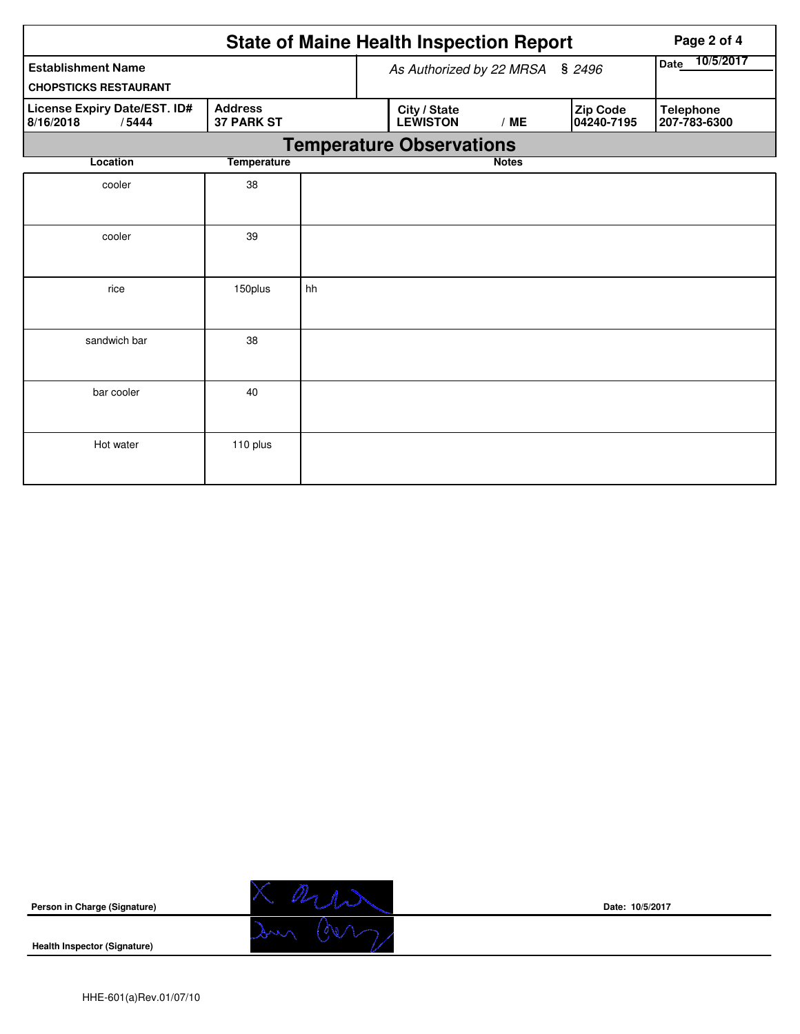|                                                           |                                     | <b>State of Maine Health Inspection Report</b> | Page 2 of 4 |                                 |              |  |                        |                                  |
|-----------------------------------------------------------|-------------------------------------|------------------------------------------------|-------------|---------------------------------|--------------|--|------------------------|----------------------------------|
| <b>Establishment Name</b><br><b>CHOPSTICKS RESTAURANT</b> |                                     | As Authorized by 22 MRSA § 2496                |             |                                 |              |  | 10/5/2017<br>Date      |                                  |
| License Expiry Date/EST. ID#<br>8/16/2018<br>/5444        | <b>Address</b><br><b>37 PARK ST</b> |                                                |             | City / State<br><b>LEWISTON</b> | /ME          |  | Zip Code<br>04240-7195 | <b>Telephone</b><br>207-783-6300 |
|                                                           |                                     | <b>Temperature Observations</b>                |             |                                 |              |  |                        |                                  |
| Location                                                  | <b>Temperature</b>                  |                                                |             |                                 | <b>Notes</b> |  |                        |                                  |
| cooler                                                    | 38                                  |                                                |             |                                 |              |  |                        |                                  |
| cooler                                                    | 39                                  |                                                |             |                                 |              |  |                        |                                  |
| rice                                                      | 150plus                             | hh                                             |             |                                 |              |  |                        |                                  |
| sandwich bar                                              | 38                                  |                                                |             |                                 |              |  |                        |                                  |
| bar cooler                                                | 40                                  |                                                |             |                                 |              |  |                        |                                  |
| Hot water                                                 | 110 plus                            |                                                |             |                                 |              |  |                        |                                  |





**Date: 10/5/2017**

**Health Inspector (Signature)**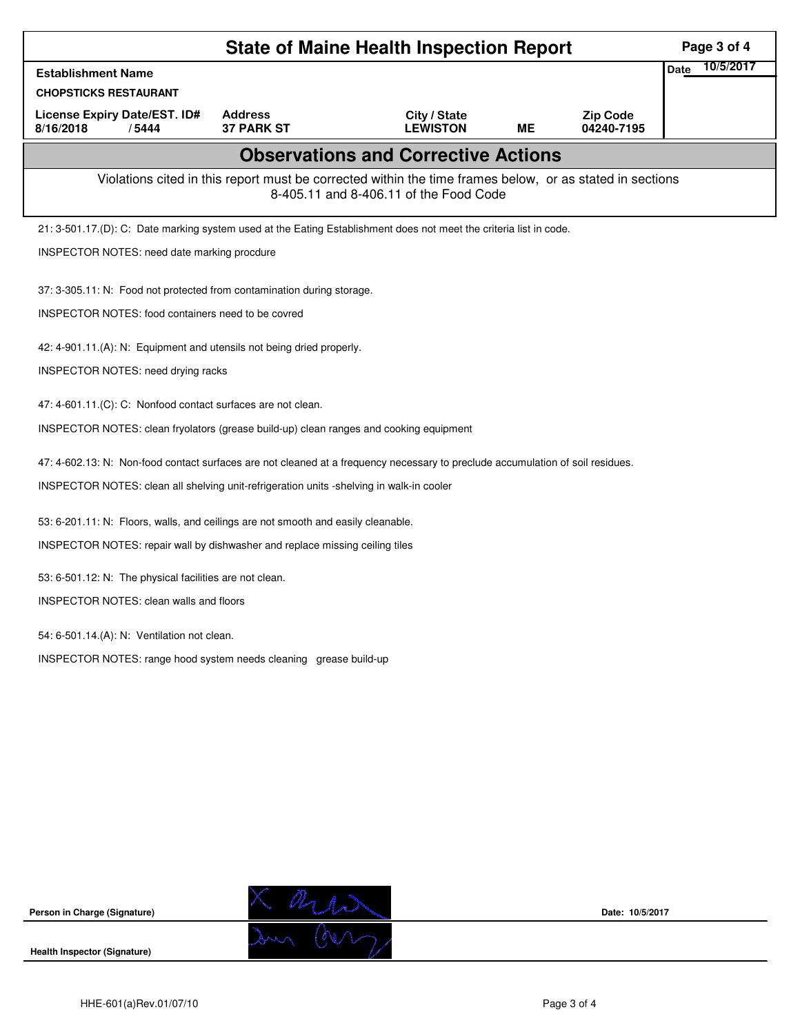| <b>State of Maine Health Inspection Report</b>                                                                                                     |                                     |                                 |           |                               |             |           |  |  |  |  |
|----------------------------------------------------------------------------------------------------------------------------------------------------|-------------------------------------|---------------------------------|-----------|-------------------------------|-------------|-----------|--|--|--|--|
| <b>Establishment Name</b>                                                                                                                          |                                     |                                 |           |                               | <b>Date</b> | 10/5/2017 |  |  |  |  |
| <b>CHOPSTICKS RESTAURANT</b>                                                                                                                       |                                     |                                 |           |                               |             |           |  |  |  |  |
| License Expiry Date/EST. ID#<br>8/16/2018<br>/5444                                                                                                 | <b>Address</b><br><b>37 PARK ST</b> | City / State<br><b>LEWISTON</b> | <b>ME</b> | <b>Zip Code</b><br>04240-7195 |             |           |  |  |  |  |
| <b>Observations and Corrective Actions</b>                                                                                                         |                                     |                                 |           |                               |             |           |  |  |  |  |
| Violations cited in this report must be corrected within the time frames below, or as stated in sections<br>8-405.11 and 8-406.11 of the Food Code |                                     |                                 |           |                               |             |           |  |  |  |  |
| 21: 3-501.17.(D): C: Date marking system used at the Eating Establishment does not meet the criteria list in code.                                 |                                     |                                 |           |                               |             |           |  |  |  |  |
| INSPECTOR NOTES: need date marking procdure                                                                                                        |                                     |                                 |           |                               |             |           |  |  |  |  |
| 37: 3-305.11: N: Food not protected from contamination during storage.                                                                             |                                     |                                 |           |                               |             |           |  |  |  |  |
| <b>INSPECTOR NOTES: food containers need to be covred</b>                                                                                          |                                     |                                 |           |                               |             |           |  |  |  |  |
| 42: 4-901.11.(A): N: Equipment and utensils not being dried properly.                                                                              |                                     |                                 |           |                               |             |           |  |  |  |  |
| INSPECTOR NOTES: need drying racks                                                                                                                 |                                     |                                 |           |                               |             |           |  |  |  |  |
| 47: 4-601.11.(C): C: Nonfood contact surfaces are not clean.                                                                                       |                                     |                                 |           |                               |             |           |  |  |  |  |
| INSPECTOR NOTES: clean fryolators (grease build-up) clean ranges and cooking equipment                                                             |                                     |                                 |           |                               |             |           |  |  |  |  |
| 47: 4-602.13: N: Non-food contact surfaces are not cleaned at a frequency necessary to preclude accumulation of soil residues.                     |                                     |                                 |           |                               |             |           |  |  |  |  |
| INSPECTOR NOTES: clean all shelving unit-refrigeration units -shelving in walk-in cooler                                                           |                                     |                                 |           |                               |             |           |  |  |  |  |
| 53: 6-201.11: N: Floors, walls, and ceilings are not smooth and easily cleanable.                                                                  |                                     |                                 |           |                               |             |           |  |  |  |  |
| INSPECTOR NOTES: repair wall by dishwasher and replace missing ceiling tiles                                                                       |                                     |                                 |           |                               |             |           |  |  |  |  |
| 53: 6-501.12: N: The physical facilities are not clean.                                                                                            |                                     |                                 |           |                               |             |           |  |  |  |  |
| <b>INSPECTOR NOTES: clean walls and floors</b>                                                                                                     |                                     |                                 |           |                               |             |           |  |  |  |  |
| 54: 6-501.14.(A): N: Ventilation not clean.                                                                                                        |                                     |                                 |           |                               |             |           |  |  |  |  |
| INSPECTOR NOTES: range hood system needs cleaning grease build-up                                                                                  |                                     |                                 |           |                               |             |           |  |  |  |  |
|                                                                                                                                                    |                                     |                                 |           |                               |             |           |  |  |  |  |
|                                                                                                                                                    |                                     |                                 |           |                               |             |           |  |  |  |  |
|                                                                                                                                                    |                                     |                                 |           |                               |             |           |  |  |  |  |
|                                                                                                                                                    |                                     |                                 |           |                               |             |           |  |  |  |  |
|                                                                                                                                                    |                                     |                                 |           |                               |             |           |  |  |  |  |
|                                                                                                                                                    |                                     |                                 |           |                               |             |           |  |  |  |  |
|                                                                                                                                                    |                                     |                                 |           |                               |             |           |  |  |  |  |
|                                                                                                                                                    |                                     |                                 |           |                               |             |           |  |  |  |  |

**Person in Charge (Signature)**

**Health Inspector (Signature)** 

X and

**Date: 10/5/2017**